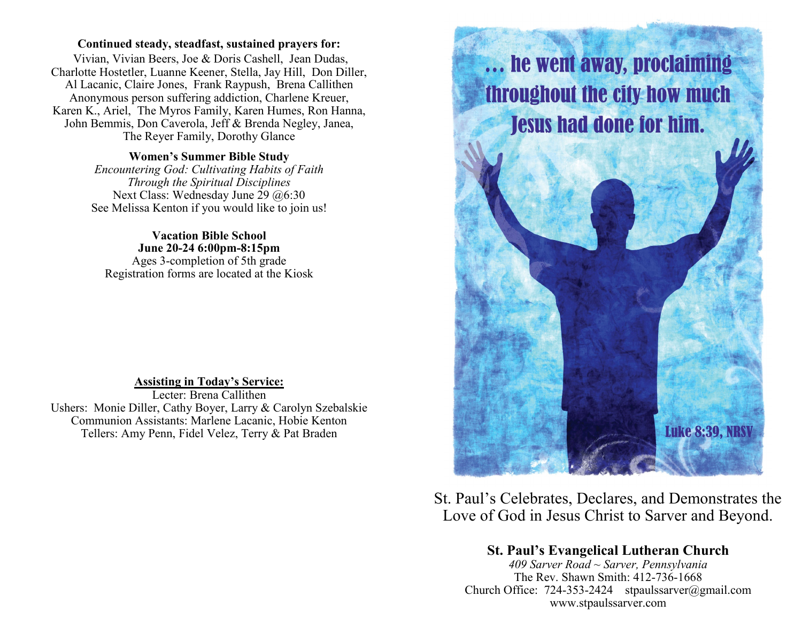## **Continued steady, steadfast, sustained prayers for:**

Vivian, Vivian Beers, Joe & Doris Cashell, Jean Dudas, Charlotte Hostetler, Luanne Keener, Stella, Jay Hill, Don Diller, Al Lacanic, Claire Jones, Frank Raypush, Brena Callithen Anonymous person suffering addiction, Charlene Kreuer, Karen K., Ariel, The Myros Family, Karen Humes, Ron Hanna, John Bemmis, Don Caverola, Jeff & Brenda Negley, Janea, The Reyer Family, Dorothy Glance

## **Women's Summer Bible Study**

*Encountering God: Cultivating Habits of Faith Through the Spiritual Disciplines* Next Class: Wednesday June 29 @6:30 See Melissa Kenton if you would like to join us!

**Vacation Bible School June 20-24 6:00pm-8:15pm** Ages 3-completion of 5th grade Registration forms are located at the Kiosk

**Assisting in Today's Service:** Lecter: Brena Callithen Ushers: Monie Diller, Cathy Boyer, Larry & Carolyn Szebalskie Communion Assistants: Marlene Lacanic, Hobie Kenton Tellers: Amy Penn, Fidel Velez, Terry & Pat Braden



St. Paul's Celebrates, Declares, and Demonstrates the Love of God in Jesus Christ to Sarver and Beyond.

# **St. Paul's Evangelical Lutheran Church**

*409 Sarver Road ~ Sarver, Pennsylvania* The Rev. Shawn Smith: 412-736-1668 Church Office: 724-353-2424 stpaulssarver@gmail.com www.stpaulssarver.com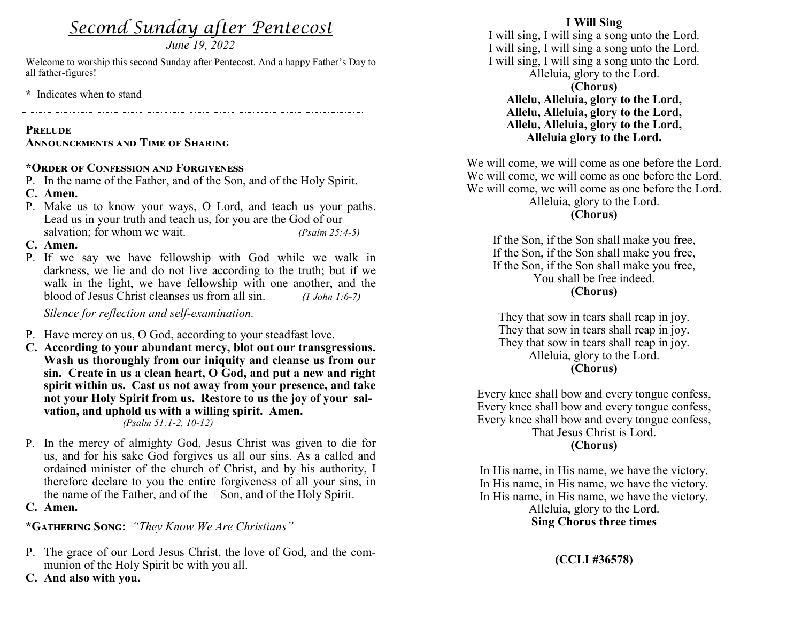# *Second Sunday after Pentecost*

*June 19, 2022*

Welcome to worship this second Sunday after Pentecost. And a happy Father's Day to all father-figures!

**\*** Indicates when to stand

# **Prelude**

# **Announcements and Time of Sharing**

# **\*Order of Confession and Forgiveness**

- P. In the name of the Father, and of the Son, and of the Holy Spirit.
- **C. Amen.**
- P. Make us to know your ways, O Lord, and teach us your paths. Lead us in your truth and teach us, for you are the God of our salvation; for whom we wait. *(Psalm 25:4-5)*

# **C. Amen.**

P. If we say we have fellowship with God while we walk in darkness, we lie and do not live according to the truth; but if we walk in the light, we have fellowship with one another, and the blood of Jesus Christ cleanses us from all sin. *(1 John 1:6-7)*

*Silence for reflection and self-examination.*

- P. Have mercy on us, O God, according to your steadfast love.
- **C. According to your abundant mercy, blot out our transgressions. Wash us thoroughly from our iniquity and cleanse us from our sin. Create in us a clean heart, O God, and put a new and right spirit within us. Cast us not away from your presence, and take not your Holy Spirit from us. Restore to us the joy of your salvation, and uphold us with a willing spirit. Amen.**

*(Psalm 51:1-2, 10-12)*

- P. In the mercy of almighty God, Jesus Christ was given to die for us, and for his sake God forgives us all our sins. As a called and ordained minister of the church of Christ, and by his authority, I therefore declare to you the entire forgiveness of all your sins, in the name of the Father, and of the  $+$  Son, and of the Holy Spirit.
- **C. Amen.**

**\*Gathering Song:** *"They Know We Are Christians"* 

- P. The grace of our Lord Jesus Christ, the love of God, and the communion of the Holy Spirit be with you all.
- **C. And also with you.**

# **I Will Sing**

I will sing, I will sing a song unto the Lord. I will sing, I will sing a song unto the Lord. I will sing, I will sing a song unto the Lord. Alleluia, glory to the Lord. **(Chorus) Allelu, Alleluia, glory to the Lord, Allelu, Alleluia, glory to the Lord, Allelu, Alleluia, glory to the Lord, Alleluia glory to the Lord.**

We will come, we will come as one before the Lord. We will come, we will come as one before the Lord. We will come, we will come as one before the Lord. Alleluia, glory to the Lord. **(Chorus)**

If the Son, if the Son shall make you free, If the Son, if the Son shall make you free, If the Son, if the Son shall make you free, You shall be free indeed. **(Chorus)**

They that sow in tears shall reap in joy. They that sow in tears shall reap in joy. They that sow in tears shall reap in joy. Alleluia, glory to the Lord. **(Chorus)**

Every knee shall bow and every tongue confess, Every knee shall bow and every tongue confess, Every knee shall bow and every tongue confess, That Jesus Christ is Lord. **(Chorus)**

In His name, in His name, we have the victory. In His name, in His name, we have the victory. In His name, in His name, we have the victory. Alleluia, glory to the Lord. **Sing Chorus three times**

# **(CCLI #36578)**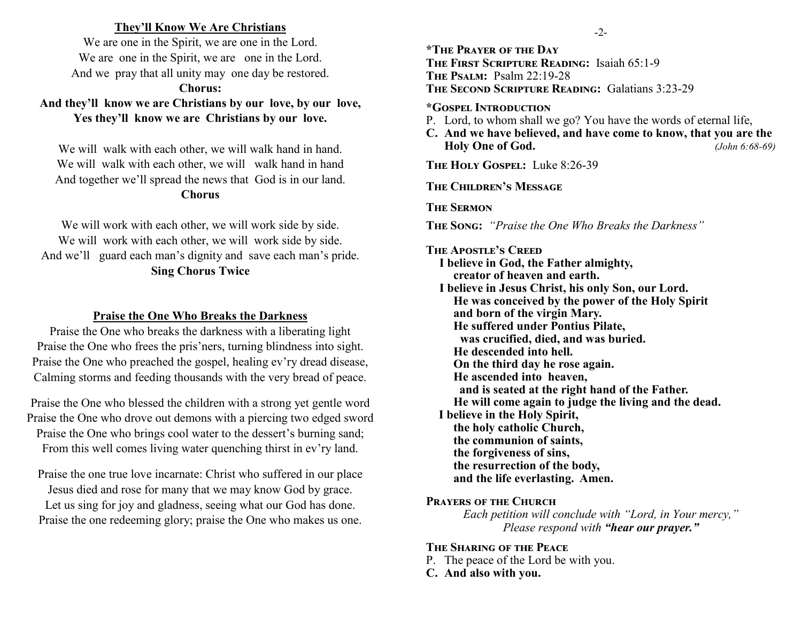## **They'll Know We Are Christians**

We are one in the Spirit, we are one in the Lord. We are one in the Spirit, we are one in the Lord. And we pray that all unity may one day be restored.

#### **Chorus:**

**And they'll know we are Christians by our love, by our love, Yes they'll know we are Christians by our love.**

We will walk with each other, we will walk hand in hand. We will walk with each other, we will walk hand in hand And together we'll spread the news that God is in our land. **Chorus**

We will work with each other, we will work side by side. We will work with each other, we will work side by side. And we'll guard each man's dignity and save each man's pride. **Sing Chorus Twice**

#### **Praise the One Who Breaks the Darkness**

Praise the One who breaks the darkness with a liberating light Praise the One who frees the pris'ners, turning blindness into sight. Praise the One who preached the gospel, healing ev'ry dread disease, Calming storms and feeding thousands with the very bread of peace.

Praise the One who blessed the children with a strong yet gentle word Praise the One who drove out demons with a piercing two edged sword Praise the One who brings cool water to the dessert's burning sand; From this well comes living water quenching thirst in ev'ry land.

Praise the one true love incarnate: Christ who suffered in our place Jesus died and rose for many that we may know God by grace. Let us sing for joy and gladness, seeing what our God has done. Praise the one redeeming glory; praise the One who makes us one.

-2-

**\*The Prayer of the Day** **The First Scripture Reading:** Isaiah 65:1-9 **The Psalm:** Psalm 22:19-28 **The Second Scripture Reading:** Galatians 3:23-29

#### **\*Gospel Introduction**

- P. Lord, to whom shall we go? You have the words of eternal life,
- **C. And we have believed, and have come to know, that you are the Holy One of God.** *(John 6:68-69)*

**The Holy Gospel:** Luke 8:26-39

**The Children's Message**

**The Sermon**

**The Song:** *"Praise the One Who Breaks the Darkness"* 

**The Apostle's Creed**

**I believe in God, the Father almighty, creator of heaven and earth.**

**I believe in Jesus Christ, his only Son, our Lord. He was conceived by the power of the Holy Spirit and born of the virgin Mary. He suffered under Pontius Pilate, was crucified, died, and was buried. He descended into hell. On the third day he rose again. He ascended into heaven, and is seated at the right hand of the Father. He will come again to judge the living and the dead. I believe in the Holy Spirit, the holy catholic Church, the communion of saints, the forgiveness of sins, the resurrection of the body,**

# **Prayers of the Church**

*Each petition will conclude with "Lord, in Your mercy," Please respond with "hear our prayer."* 

#### **The Sharing of the Peace**

P. The peace of the Lord be with you.

**and the life everlasting. Amen.**

**C. And also with you.**